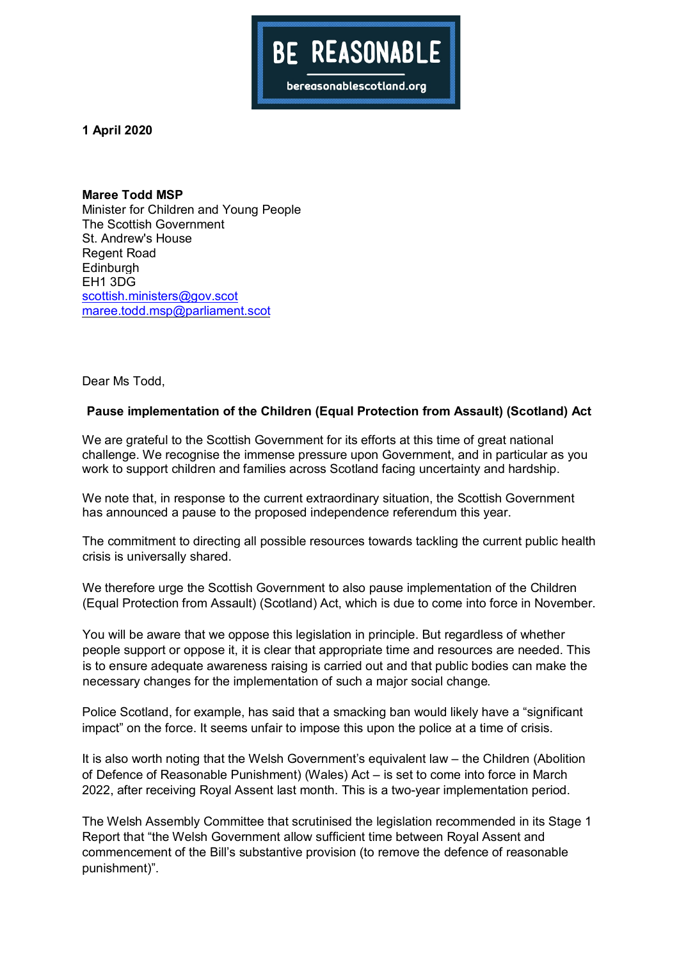

**1 April 2020**

**Maree Todd MSP** Minister for Children and Young People The Scottish Government St. Andrew's House Regent Road **Edinburgh** EH1 3DG scottish.ministers@gov.scot maree.todd.msp@parliament.scot

Dear Ms Todd,

## **Pause implementation of the Children (Equal Protection from Assault) (Scotland) Act**

We are grateful to the Scottish Government for its efforts at this time of great national challenge. We recognise the immense pressure upon Government, and in particular as you work to support children and families across Scotland facing uncertainty and hardship.

We note that, in response to the current extraordinary situation, the Scottish Government has announced a pause to the proposed independence referendum this year.

The commitment to directing all possible resources towards tackling the current public health crisis is universally shared.

We therefore urge the Scottish Government to also pause implementation of the Children (Equal Protection from Assault) (Scotland) Act, which is due to come into force in November.

You will be aware that we oppose this legislation in principle. But regardless of whether people support or oppose it, it is clear that appropriate time and resources are needed. This is to ensure adequate awareness raising is carried out and that public bodies can make the necessary changes for the implementation of such a major social change.

Police Scotland, for example, has said that a smacking ban would likely have a "significant impact" on the force. It seems unfair to impose this upon the police at a time of crisis.

It is also worth noting that the Welsh Government's equivalent law – the Children (Abolition of Defence of Reasonable Punishment) (Wales) Act – is set to come into force in March 2022, after receiving Royal Assent last month. This is a two-year implementation period.

The Welsh Assembly Committee that scrutinised the legislation recommended in its Stage 1 Report that "the Welsh Government allow sufficient time between Royal Assent and commencement of the Bill's substantive provision (to remove the defence of reasonable punishment)".